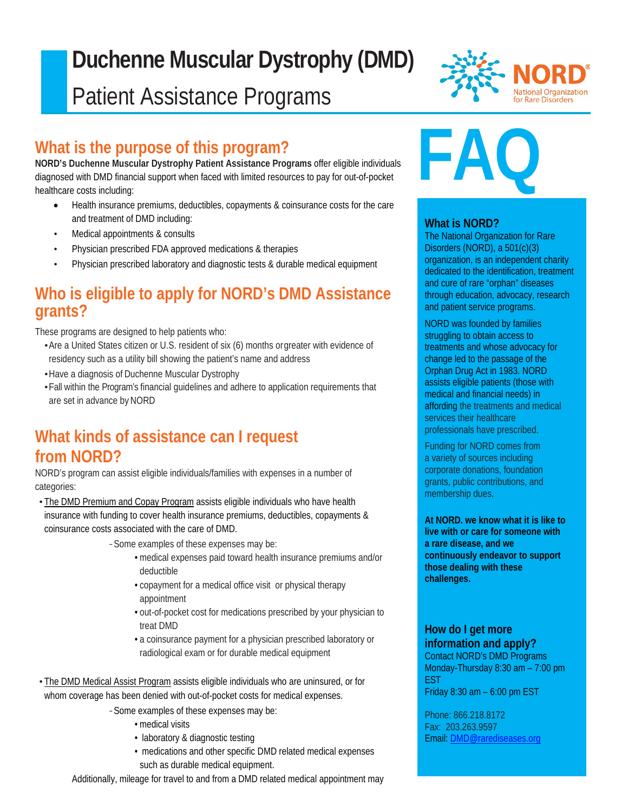# $\overline{\phantom{a}}$ **Duchenne Muscular Dystrophy (DMD)** Patient Assistance Programs

# **What is the purpose of this program?**

**NORD's Duchenne Muscular Dystrophy Patient Assistance Programs** offer eligible individuals diagnosed with DMD financial support when faced with limited resources to pay for out-of-pocket healthcare costs including:

- Health insurance premiums, deductibles, copayments & coinsurance costs for the care and treatment of DMD including:
- Medical appointments & consults

I

- Physician prescribed FDA approved medications & therapies
- Physician prescribed laboratory and diagnostic tests & durable medical equipment

## **Who is eligible to apply for NORD's DMD Assistance grants?**

These programs are designed to help patients who:

- •Are a United States citizen or U.S. resident of six (6) months orgreater with evidence of residency such as a utility bill showing the patient's name and address
- •Have a diagnosis of Duchenne Muscular Dystrophy
- •Fall within the Program's financial guidelines and adhere to application requirements that are set in advance by NORD

# **What kinds of assistance can I request from NORD?**

NORD's program can assist eligible individuals/families with expenses in a number of categories:

• The DMD Premium and Copay Program assists eligible individuals who have health insurance with funding to cover health insurance premiums, deductibles, copayments & coinsurance costs associated with the care of DMD.

*-*Some examples of these expenses may be:

- medical expenses paid toward health insurance premiums and/or deductible
- copayment for a medical office visit or physical therapy appointment
- out-of-pocket cost for medications prescribed by your physician to treat DMD
- a coinsurance payment for a physician prescribed laboratory or radiological exam or for durable medical equipment

• The DMD Medical Assist Program assists eligible individuals who are uninsured, or for whom coverage has been denied with out-of-pocket costs for medical expenses.

*-*Some examples of these expenses may be:

- medical visits
- laboratory & diagnostic testing
- medications and other specific DMD related medical expenses such as durable medical equipment.

Additionally, mileage for travel to and from a DMD related medical appointment may



# **FAQ**

## **What is NORD?**

The National Organization for Rare Disorders (NORD), a 501(c)(3) organization, is an independent charity dedicated to the identification, treatment and cure of rare "orphan" diseases through education, advocacy, research and patient service programs.

NORD was founded by families struggling to obtain access to treatments and whose advocacy for change led to the passage of the Orphan Drug Act in 1983. NORD assists eligible patients (those with medical and financial needs) in affording the treatments and medical services their healthcare professionals have prescribed.

Funding for NORD comes from a variety of sources including corporate donations, foundation grants, public contributions, and membership dues.

**At NORD. we know what it is like to live with or care for someone with a rare disease, and we continuously endeavor to support those dealing with these challenges.**

#### **How do I get more information and apply?**

Contact NORD's DMD Programs Monday-Thursday 8:30 am – 7:00 pm EST Friday 8:30 am – 6:00 pm EST

Phone: 866.218.8172 Fax: 203.263.9597 Email: [DMD@rarediseases.org](mailto:DMD@rarediseases.org)